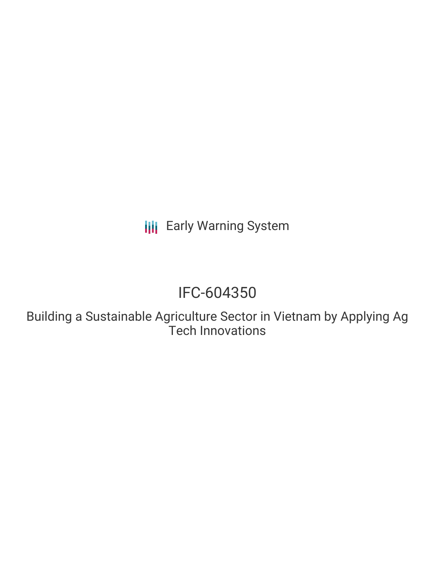**III** Early Warning System

## IFC-604350

Building a Sustainable Agriculture Sector in Vietnam by Applying Ag Tech Innovations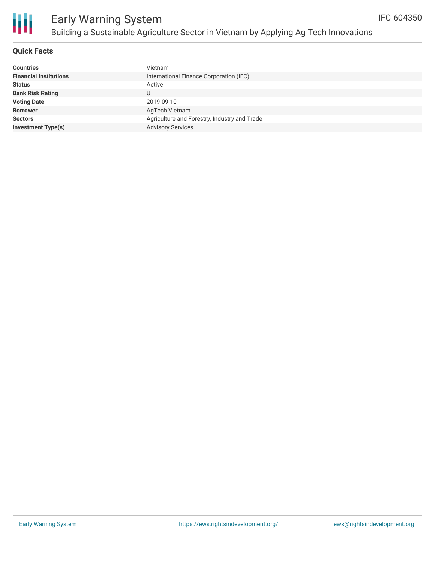

### **Quick Facts**

| Vietnam                                      |  |  |  |  |
|----------------------------------------------|--|--|--|--|
| International Finance Corporation (IFC)      |  |  |  |  |
| Active                                       |  |  |  |  |
| U                                            |  |  |  |  |
| 2019-09-10                                   |  |  |  |  |
| AgTech Vietnam                               |  |  |  |  |
| Agriculture and Forestry, Industry and Trade |  |  |  |  |
| <b>Advisory Services</b>                     |  |  |  |  |
|                                              |  |  |  |  |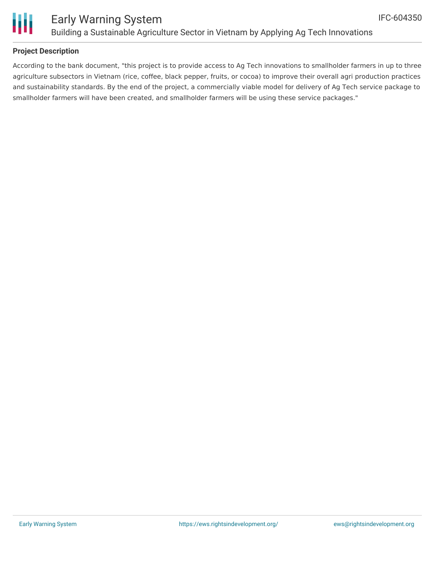

## Ш

### Early Warning System Building a Sustainable Agriculture Sector in Vietnam by Applying Ag Tech Innovations

### **Project Description**

According to the bank document, "this project is to provide access to Ag Tech innovations to smallholder farmers in up to three agriculture subsectors in Vietnam (rice, coffee, black pepper, fruits, or cocoa) to improve their overall agri production practices and sustainability standards. By the end of the project, a commercially viable model for delivery of Ag Tech service package to smallholder farmers will have been created, and smallholder farmers will be using these service packages."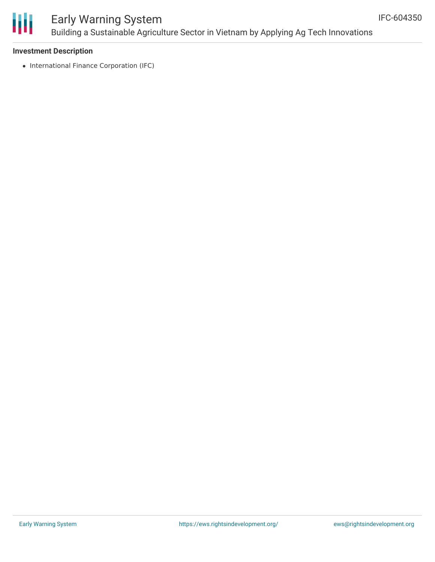

### Early Warning System Building a Sustainable Agriculture Sector in Vietnam by Applying Ag Tech Innovations

### **Investment Description**

• International Finance Corporation (IFC)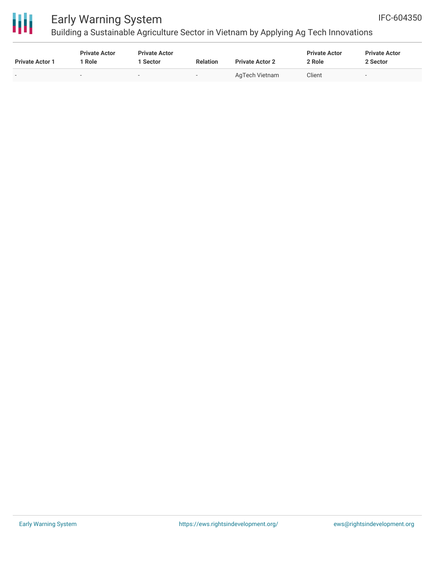

# 冊

## Early Warning System

Building a Sustainable Agriculture Sector in Vietnam by Applying Ag Tech Innovations

| <b>Private Actor 1</b> | <b>Private Actor</b><br><sup>1</sup> Role | <b>Private Actor</b><br>Sector | <b>Relation</b>          | <b>Private Actor 2</b> | <b>Private Actor</b><br>2 Role | <b>Private Actor</b><br>2 Sector |
|------------------------|-------------------------------------------|--------------------------------|--------------------------|------------------------|--------------------------------|----------------------------------|
|                        | $\overline{\phantom{0}}$                  |                                | $\overline{\phantom{a}}$ | AgTech Vietnam         | Client                         | $\overline{\phantom{a}}$         |